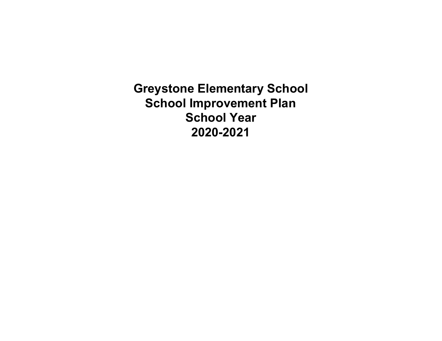**Greystone Elementary School School Improvement Plan School Year 2020-2021**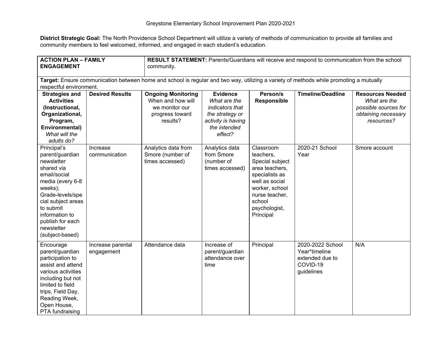**District Strategic Goal:** The North Providence School Department will utilize a variety of methods of communication to provide all families and community members to feel welcomed, informed, and engaged in each student's education.

| <b>ACTION PLAN - FAMILY</b><br><b>ENGAGEMENT</b>                                                                                                                                                                                        |                                 | <b>RESULT STATEMENT:</b> Parents/Guardians will receive and respond to communication from the school<br>community. |                                                                                                                        |                                                                                                                                                                             |                                                                                |                                                                                                      |
|-----------------------------------------------------------------------------------------------------------------------------------------------------------------------------------------------------------------------------------------|---------------------------------|--------------------------------------------------------------------------------------------------------------------|------------------------------------------------------------------------------------------------------------------------|-----------------------------------------------------------------------------------------------------------------------------------------------------------------------------|--------------------------------------------------------------------------------|------------------------------------------------------------------------------------------------------|
| Target: Ensure communication between home and school is regular and two way, utilizing a variety of methods while promoting a mutually<br>respectful environment.                                                                       |                                 |                                                                                                                    |                                                                                                                        |                                                                                                                                                                             |                                                                                |                                                                                                      |
| <b>Strategies and</b><br><b>Activities</b><br>(Instructional,<br>Organizational,<br>Program,<br>Environmental)<br>What will the<br>adults do?                                                                                           | <b>Desired Results</b>          | <b>Ongoing Monitoring</b><br>When and how will<br>we monitor our<br>progress toward<br>results?                    | <b>Evidence</b><br>What are the<br>indicators that<br>the strategy or<br>activity is having<br>the intended<br>effect? | Person/s<br><b>Responsible</b>                                                                                                                                              | <b>Timeline/Deadline</b>                                                       | <b>Resources Needed</b><br>What are the<br>possible sources for<br>obtaining necessary<br>resources? |
| Principal's<br>parent/guardian<br>newsletter<br>shared via<br>email/social<br>media (every 6-8<br>weeks);<br>Grade-levels/spe<br>cial subject areas<br>to submit<br>information to<br>publish for each<br>newsletter<br>(subject-based) | Increase<br>communication       | Analytics data from<br>Smore (number of<br>times accessed)                                                         | Analytics data<br>from Smore<br>(number of<br>times accessed)                                                          | Classroom<br>teachers.<br>Special subject<br>area teachers,<br>specialists as<br>well as social<br>worker, school<br>nurse teacher,<br>school<br>psychologist,<br>Principal | 2020-21 School<br>Year                                                         | Smore account                                                                                        |
| Encourage<br>parent/guardian<br>participation to<br>assist and attend<br>various activities<br>including but not<br>limited to field<br>trips, Field Day,<br>Reading Week,<br>Open House,<br>PTA fundraising                            | Increase parental<br>engagement | Attendance data                                                                                                    | Increase of<br>parent/guardian<br>attendance over<br>time                                                              | Principal                                                                                                                                                                   | 2020-2022 School<br>Year*timeline<br>extended due to<br>COVID-19<br>guidelines | N/A                                                                                                  |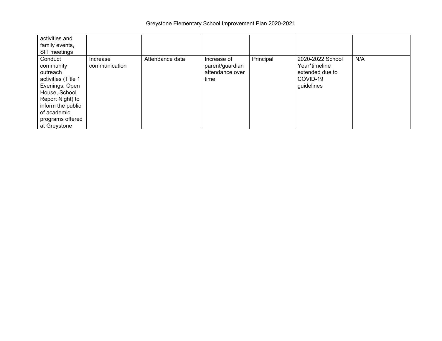| activities and<br>family events,<br>SIT meetings                                                                                                                                       |                           |                 |                                                           |           |                                                                                |     |
|----------------------------------------------------------------------------------------------------------------------------------------------------------------------------------------|---------------------------|-----------------|-----------------------------------------------------------|-----------|--------------------------------------------------------------------------------|-----|
| Conduct<br>community<br>outreach<br>activities (Title 1<br>Evenings, Open<br>House, School<br>Report Night) to<br>inform the public<br>of academic<br>programs offered<br>at Greystone | Increase<br>communication | Attendance data | Increase of<br>parent/guardian<br>attendance over<br>time | Principal | 2020-2022 School<br>Year*timeline<br>extended due to<br>COVID-19<br>guidelines | N/A |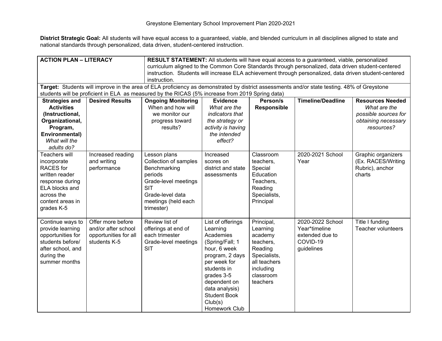| <b>ACTION PLAN - LITERACY</b>                                                                                                                                                                                                |                                                                                   | <b>RESULT STATEMENT:</b> All students will have equal access to a guaranteed, viable, personalized                                                                                                                                             |                                                                                                                                                                                                                                    |                                                                                                                                 |                                                                                |                                                                                                      |
|------------------------------------------------------------------------------------------------------------------------------------------------------------------------------------------------------------------------------|-----------------------------------------------------------------------------------|------------------------------------------------------------------------------------------------------------------------------------------------------------------------------------------------------------------------------------------------|------------------------------------------------------------------------------------------------------------------------------------------------------------------------------------------------------------------------------------|---------------------------------------------------------------------------------------------------------------------------------|--------------------------------------------------------------------------------|------------------------------------------------------------------------------------------------------|
| curriculum aligned to the Common Core Standards through personalized, data driven student-centered<br>instruction. Students will increase ELA achievement through personalized, data driven student-centered<br>instruction. |                                                                                   |                                                                                                                                                                                                                                                |                                                                                                                                                                                                                                    |                                                                                                                                 |                                                                                |                                                                                                      |
|                                                                                                                                                                                                                              |                                                                                   | Target: Students will improve in the area of ELA proficiency as demonstrated by district assessments and/or state testing. 48% of Greystone<br>students will be proficient in ELA as measured by the RICAS (5% increase from 2019 Spring data) |                                                                                                                                                                                                                                    |                                                                                                                                 |                                                                                |                                                                                                      |
| <b>Strategies and</b><br><b>Activities</b><br>(Instructional,<br>Organizational,<br>Program,<br>Environmental)<br>What will the<br>adults do?                                                                                | <b>Desired Results</b>                                                            | <b>Ongoing Monitoring</b><br>When and how will<br>we monitor our<br>progress toward<br>results?                                                                                                                                                | <b>Evidence</b><br>What are the<br>indicators that<br>the strategy or<br>activity is having<br>the intended<br>effect?                                                                                                             | Person/s<br><b>Responsible</b>                                                                                                  | <b>Timeline/Deadline</b>                                                       | <b>Resources Needed</b><br>What are the<br>possible sources for<br>obtaining necessary<br>resources? |
| <b>Teachers will</b><br>incorporate<br><b>RACES</b> for<br>written reader<br>response during<br>ELA blocks and<br>across the<br>content areas in<br>grades K-5                                                               | Increased reading<br>and writing<br>performance                                   | Lesson plans<br>Collection of samples<br>Benchmarking<br>periods<br>Grade-level meetings<br><b>SIT</b><br>Grade-level data<br>meetings (held each<br>trimester)                                                                                | Increased<br>scores on<br>district and state<br>assessments                                                                                                                                                                        | Classroom<br>teachers,<br>Special<br>Education<br>Teachers,<br>Reading<br>Specialists,<br>Principal                             | 2020-2021 School<br>Year                                                       | Graphic organizers<br>(Ex. RACES/Writing<br>Rubric), anchor<br>charts                                |
| Continue ways to<br>provide learning<br>opportunities for<br>students before/<br>after school, and<br>during the<br>summer months                                                                                            | Offer more before<br>and/or after school<br>opportunities for all<br>students K-5 | Review list of<br>offerings at end of<br>each trimester<br>Grade-level meetings<br><b>SIT</b>                                                                                                                                                  | List of offerings<br>Learning<br>Academies<br>(Spring/Fall; 1<br>hour, 6 week<br>program, 2 days<br>per week for<br>students in<br>grades 3-5<br>dependent on<br>data analysis)<br><b>Student Book</b><br>Club(s)<br>Homework Club | Principal,<br>Learning<br>academy<br>teachers,<br>Reading<br>Specialists,<br>all teachers<br>including<br>classroom<br>teachers | 2020-2022 School<br>Year*timeline<br>extended due to<br>COVID-19<br>guidelines | Title I funding<br><b>Teacher volunteers</b>                                                         |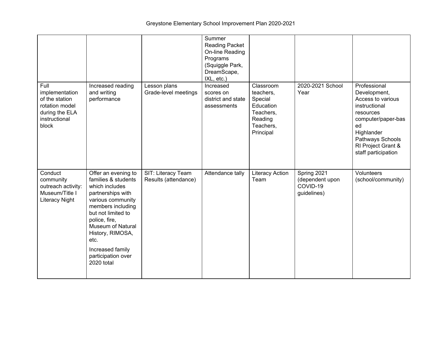|                                                                                                        |                                                                                                                                                                                                                                                                             |                                            | Summer<br><b>Reading Packet</b><br>On-line Reading<br>Programs<br>(Squiggle Park,<br>DreamScape,<br>IXL, etc.) |                                                                                                  |                                                           |                                                                                                                                                                                            |
|--------------------------------------------------------------------------------------------------------|-----------------------------------------------------------------------------------------------------------------------------------------------------------------------------------------------------------------------------------------------------------------------------|--------------------------------------------|----------------------------------------------------------------------------------------------------------------|--------------------------------------------------------------------------------------------------|-----------------------------------------------------------|--------------------------------------------------------------------------------------------------------------------------------------------------------------------------------------------|
| Full<br>implementation<br>of the station<br>rotation model<br>during the ELA<br>instructional<br>block | Increased reading<br>and writing<br>performance                                                                                                                                                                                                                             | Lesson plans<br>Grade-level meetings       | Increased<br>scores on<br>district and state<br>assessments                                                    | Classroom<br>teachers,<br>Special<br>Education<br>Teachers,<br>Reading<br>Teachers,<br>Principal | 2020-2021 School<br>Year                                  | Professional<br>Development,<br>Access to various<br>instructional<br>resources<br>computer/paper-bas<br>ed<br>Highlander<br>Pathways Schools<br>RI Project Grant &<br>staff participation |
| Conduct<br>community<br>outreach activity:<br>Museum/Title I<br><b>Literacy Night</b>                  | Offer an evening to<br>families & students<br>which includes<br>partnerships with<br>various community<br>members including<br>but not limited to<br>police, fire,<br>Museum of Natural<br>History, RIMOSA,<br>etc.<br>Increased family<br>participation over<br>2020 total | SIT: Literacy Team<br>Results (attendance) | Attendance tally                                                                                               | <b>Literacy Action</b><br>Team                                                                   | Spring 2021<br>(dependent upon<br>COVID-19<br>guidelines) | Volunteers<br>(school/community)                                                                                                                                                           |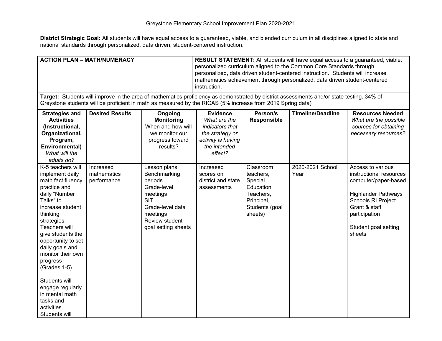| <b>ACTION PLAN - MATH/NUMERACY</b>                                                                                                                                                                                                                                                                                                                                 |                                                                                                            | <b>RESULT STATEMENT:</b> All students will have equal access to a guaranteed, viable,<br>personalized curriculum aligned to the Common Core Standards through<br>personalized, data driven student-centered instruction. Students will increase<br>mathematics achievement through personalized, data driven student-centered<br>instruction. |                                                                                                                        |                                                                                                        |                                                                                                                                           |                                                                                                                                                                                              |
|--------------------------------------------------------------------------------------------------------------------------------------------------------------------------------------------------------------------------------------------------------------------------------------------------------------------------------------------------------------------|------------------------------------------------------------------------------------------------------------|-----------------------------------------------------------------------------------------------------------------------------------------------------------------------------------------------------------------------------------------------------------------------------------------------------------------------------------------------|------------------------------------------------------------------------------------------------------------------------|--------------------------------------------------------------------------------------------------------|-------------------------------------------------------------------------------------------------------------------------------------------|----------------------------------------------------------------------------------------------------------------------------------------------------------------------------------------------|
|                                                                                                                                                                                                                                                                                                                                                                    | Greystone students will be proficient in math as measured by the RICAS (5% increase from 2019 Spring data) |                                                                                                                                                                                                                                                                                                                                               |                                                                                                                        |                                                                                                        | Target: Students will improve in the area of mathematics proficiency as demonstrated by district assessments and/or state testing. 34% of |                                                                                                                                                                                              |
| <b>Strategies and</b><br><b>Activities</b><br>(Instructional,<br>Organizational,<br>Program,<br>Environmental)<br>What will the<br>adults do?                                                                                                                                                                                                                      | <b>Desired Results</b>                                                                                     | Ongoing<br><b>Monitoring</b><br>When and how will<br>we monitor our<br>progress toward<br>results?                                                                                                                                                                                                                                            | <b>Evidence</b><br>What are the<br>indicators that<br>the strategy or<br>activity is having<br>the intended<br>effect? | Person/s<br>Responsible                                                                                | <b>Timeline/Deadline</b>                                                                                                                  | <b>Resources Needed</b><br>What are the possible<br>sources for obtaining<br>necessary resources?                                                                                            |
| K-5 teachers will<br>implement daily<br>math fact fluency<br>practice and<br>daily "Number<br>Talks" to<br>increase student<br>thinking<br>strategies.<br><b>Teachers will</b><br>give students the<br>opportunity to set<br>daily goals and<br>monitor their own<br>progress<br>(Grades 1-5).<br>Students will<br>engage regularly<br>in mental math<br>tasks and | Increased<br>mathematics<br>performance                                                                    | Lesson plans<br>Benchmarking<br>periods<br>Grade-level<br>meetings<br><b>SIT</b><br>Grade-level data<br>meetings<br>Review student<br>goal setting sheets                                                                                                                                                                                     | Increased<br>scores on<br>district and state<br>assessments                                                            | Classroom<br>teachers,<br>Special<br>Education<br>Teachers,<br>Principal,<br>Students (goal<br>sheets) | 2020-2021 School<br>Year                                                                                                                  | Access to various<br>instructional resources<br>computer/paper-based<br><b>Highlander Pathways</b><br>Schools RI Project<br>Grant & staff<br>participation<br>Student goal setting<br>sheets |
| activities.<br>Students will                                                                                                                                                                                                                                                                                                                                       |                                                                                                            |                                                                                                                                                                                                                                                                                                                                               |                                                                                                                        |                                                                                                        |                                                                                                                                           |                                                                                                                                                                                              |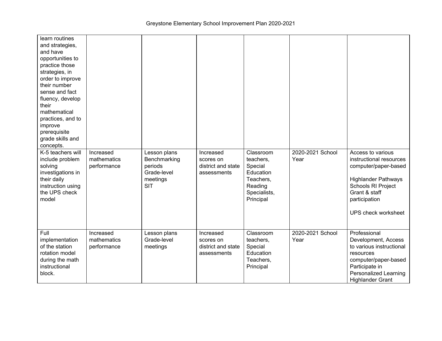| learn routines<br>and strategies,<br>and have<br>opportunities to<br>practice those<br>strategies, in<br>order to improve<br>their number<br>sense and fact<br>fluency, develop<br>their<br>mathematical<br>practices, and to<br>improve<br>prerequisite<br>grade skills and<br>concepts. |                                         |                                                                                  |                                                             |                                                                                                     |                          |                                                                                                                                                                                   |
|-------------------------------------------------------------------------------------------------------------------------------------------------------------------------------------------------------------------------------------------------------------------------------------------|-----------------------------------------|----------------------------------------------------------------------------------|-------------------------------------------------------------|-----------------------------------------------------------------------------------------------------|--------------------------|-----------------------------------------------------------------------------------------------------------------------------------------------------------------------------------|
| K-5 teachers will<br>include problem<br>solving<br>investigations in<br>their daily<br>instruction using<br>the UPS check<br>model                                                                                                                                                        | Increased<br>mathematics<br>performance | Lesson plans<br>Benchmarking<br>periods<br>Grade-level<br>meetings<br><b>SIT</b> | Increased<br>scores on<br>district and state<br>assessments | Classroom<br>teachers,<br>Special<br>Education<br>Teachers,<br>Reading<br>Specialists,<br>Principal | 2020-2021 School<br>Year | Access to various<br>instructional resources<br>computer/paper-based<br><b>Highlander Pathways</b><br>Schools RI Project<br>Grant & staff<br>participation<br>UPS check worksheet |
| Full<br>implementation<br>of the station<br>rotation model<br>during the math<br>instructional<br>block.                                                                                                                                                                                  | Increased<br>mathematics<br>performance | Lesson plans<br>Grade-level<br>meetings                                          | Increased<br>scores on<br>district and state<br>assessments | Classroom<br>teachers,<br>Special<br>Education<br>Teachers,<br>Principal                            | 2020-2021 School<br>Year | Professional<br>Development, Access<br>to various instructional<br>resources<br>computer/paper-based<br>Participate in<br>Personalized Learning<br><b>Highlander Grant</b>        |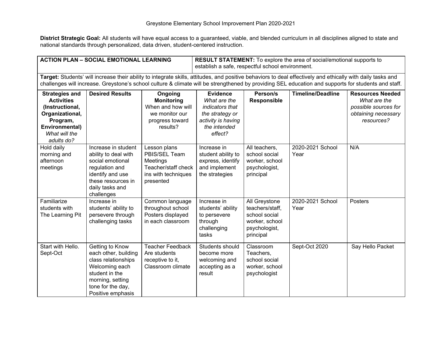$\overline{\phantom{0}}$ 

| <b>ACTION PLAN - SOCIAL EMOTIONAL LEARNING</b>                                                                                                                                                                                                                                                                     |                                                                                                       |                                                                                                    | <b>RESULT STATEMENT:</b> To explore the area of social/emotional supports to<br>establish a safe, respectful school environment. |                                                                                |                          |                                                                                                      |
|--------------------------------------------------------------------------------------------------------------------------------------------------------------------------------------------------------------------------------------------------------------------------------------------------------------------|-------------------------------------------------------------------------------------------------------|----------------------------------------------------------------------------------------------------|----------------------------------------------------------------------------------------------------------------------------------|--------------------------------------------------------------------------------|--------------------------|------------------------------------------------------------------------------------------------------|
| Target: Students' will increase their ability to integrate skills, attitudes, and positive behaviors to deal effectively and ethically with daily tasks and<br>challenges will increase. Greystone's school culture & climate will be strengthened by providing SEL education and supports for students and staff. |                                                                                                       |                                                                                                    |                                                                                                                                  |                                                                                |                          |                                                                                                      |
| <b>Strategies and</b><br><b>Activities</b><br>(Instructional,<br>Organizational,<br>Program,<br>Environmental)<br>What will the<br>adults do?                                                                                                                                                                      | <b>Desired Results</b>                                                                                | Ongoing<br><b>Monitoring</b><br>When and how will<br>we monitor our<br>progress toward<br>results? | <b>Evidence</b><br>What are the<br><i>indicators that</i><br>the strategy or<br>activity is having<br>the intended<br>effect?    | Person/s<br><b>Responsible</b>                                                 | <b>Timeline/Deadline</b> | <b>Resources Needed</b><br>What are the<br>possible sources for<br>obtaining necessary<br>resources? |
| Hold daily<br>morning and<br>afternoon<br>meetings                                                                                                                                                                                                                                                                 | Increase in student<br>ability to deal with<br>social emotional<br>regulation and<br>identify and use | Lesson plans<br>PBIS/SEL Team<br>Meetings<br>Teacher/staff check<br>ins with techniques            | Increase in<br>student ability to<br>express, identify<br>and implement<br>the strategies                                        | All teachers.<br>school social<br>worker, school<br>psychologist,<br>principal | 2020-2021 School<br>Year | N/A                                                                                                  |

| meetings                                         | regulation and<br>identify and use<br>these resources in<br>daily tasks and<br>challenges                                                                        | Teacher/staff check<br>ins with techniques<br>presented                        | and implement<br>the strategies                                                     | psychologist,<br>principal                                                                        |                          |                  |
|--------------------------------------------------|------------------------------------------------------------------------------------------------------------------------------------------------------------------|--------------------------------------------------------------------------------|-------------------------------------------------------------------------------------|---------------------------------------------------------------------------------------------------|--------------------------|------------------|
| Familiarize<br>students with<br>The Learning Pit | Increase in<br>students' ability to<br>persevere through<br>challenging tasks                                                                                    | Common language<br>throughout school<br>Posters displayed<br>in each classroom | Increase in<br>students' ability<br>to persevere<br>through<br>challenging<br>tasks | All Greystone<br>teachers/staff,<br>school social<br>worker, school<br>psychologist,<br>principal | 2020-2021 School<br>Year | Posters          |
| Start with Hello.<br>Sept-Oct                    | Getting to Know<br>each other, building<br>class relationships<br>Welcoming each<br>student in the<br>morning, setting<br>tone for the day,<br>Positive emphasis | Teacher Feedback<br>Are students<br>receptive to it,<br>Classroom climate      | Students should<br>become more<br>welcoming and<br>accepting as a<br>result         | Classroom<br>Teachers,<br>school social<br>worker, school<br>psychologist                         | Sept-Oct 2020            | Say Hello Packet |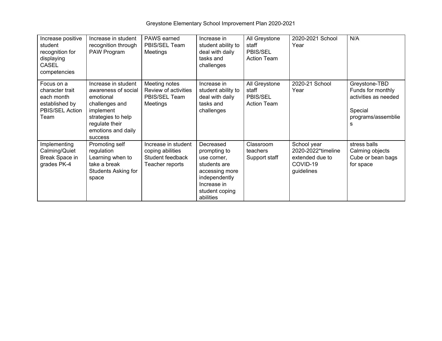| Increase positive<br>student<br>recognition for<br>displaying<br>CASEL<br>competencies   | Increase in student<br>recognition through<br>PAW Program                                                                                                              | PAWS earned<br>PBIS/SEL Team<br>Meetings                                       | Increase in<br>student ability to<br>deal with daily<br>tasks and<br>challenges                                                           | All Greystone<br>staff<br>PBIS/SEL<br><b>Action Team</b> | 2020-2021 School<br>Year                                                       | N/A                                                                                              |
|------------------------------------------------------------------------------------------|------------------------------------------------------------------------------------------------------------------------------------------------------------------------|--------------------------------------------------------------------------------|-------------------------------------------------------------------------------------------------------------------------------------------|----------------------------------------------------------|--------------------------------------------------------------------------------|--------------------------------------------------------------------------------------------------|
| Focus on a<br>character trait<br>each month<br>established by<br>PBIS/SEL Action<br>Team | Increase in student<br>awareness of social<br>emotional<br>challenges and<br>implement<br>strategies to help<br>regulate their<br>emotions and daily<br><b>success</b> | Meeting notes<br>Review of activities<br>PBIS/SEL Team<br>Meetings             | Increase in<br>student ability to<br>deal with daily<br>tasks and<br>challenges                                                           | All Greystone<br>staff<br>PBIS/SEL<br><b>Action Team</b> | 2020-21 School<br>Year                                                         | Greystone-TBD<br>Funds for monthly<br>activities as needed<br>Special<br>programs/assemblie<br>s |
| Implementing<br>Calming/Quiet<br>Break Space in<br>grades PK-4                           | Promoting self<br>regulation<br>Learning when to<br>take a break<br>Students Asking for<br>space                                                                       | Increase in student<br>coping abilities<br>Student feedback<br>Teacher reports | Decreased<br>prompting to<br>use corner.<br>students are<br>accessing more<br>independently<br>Increase in<br>student coping<br>abilities | Classroom<br>teachers<br>Support staff                   | School year<br>2020-2022*timeline<br>extended due to<br>COVID-19<br>guidelines | stress balls<br>Calming objects<br>Cube or bean bags<br>for space                                |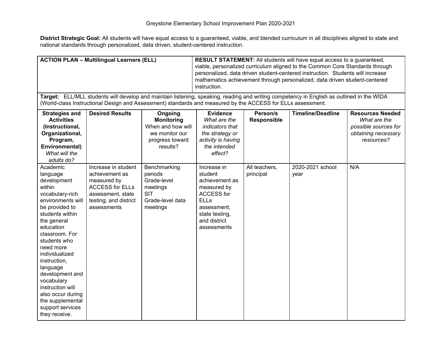| <b>ACTION PLAN - Multilingual Learners (ELL)</b>                                                                                                                                                                                                                                                                                                                                       |                                                                                                                                             | <b>RESULT STATEMENT:</b> All students will have equal access to a guaranteed,<br>viable, personalized curriculum aligned to the Common Core Standards through<br>personalized, data driven student-centered instruction. Students will increase<br>mathematics achievement through personalized, data driven student-centered<br>instruction. |                                                                                                                                                             |                                |                                                                                                                                           |                                                                                                      |
|----------------------------------------------------------------------------------------------------------------------------------------------------------------------------------------------------------------------------------------------------------------------------------------------------------------------------------------------------------------------------------------|---------------------------------------------------------------------------------------------------------------------------------------------|-----------------------------------------------------------------------------------------------------------------------------------------------------------------------------------------------------------------------------------------------------------------------------------------------------------------------------------------------|-------------------------------------------------------------------------------------------------------------------------------------------------------------|--------------------------------|-------------------------------------------------------------------------------------------------------------------------------------------|------------------------------------------------------------------------------------------------------|
|                                                                                                                                                                                                                                                                                                                                                                                        | (World-class Instructional Design and Assessment) standards and measured by the ACCESS for ELLs assessment.                                 |                                                                                                                                                                                                                                                                                                                                               |                                                                                                                                                             |                                | Target: ELL/MLL students will develop and maintain listening, speaking, reading and writing competency in English as outlined in the WIDA |                                                                                                      |
| <b>Strategies and</b><br><b>Activities</b><br>(Instructional,<br>Organizational,<br>Program,<br>Environmental)<br>What will the<br>adults do?                                                                                                                                                                                                                                          | <b>Desired Results</b>                                                                                                                      | Ongoing<br><b>Monitoring</b><br>When and how will<br>we monitor our<br>progress toward<br>results?                                                                                                                                                                                                                                            | <b>Evidence</b><br>What are the<br>indicators that<br>the strategy or<br>activity is having<br>the intended<br>effect?                                      | Person/s<br><b>Responsible</b> | <b>Timeline/Deadline</b>                                                                                                                  | <b>Resources Needed</b><br>What are the<br>possible sources for<br>obtaining necessary<br>resources? |
| Academic<br>language<br>development<br>within<br>vocabulary-rich<br>environments will<br>be provided to<br>students within<br>the general<br>education<br>classroom. For<br>students who<br>need more<br>individualized<br>instruction,<br>language<br>development and<br>vocabulary<br>instruction will<br>also occur during<br>the supplemental<br>support services<br>they receive. | Increase in student<br>achievement as<br>measured by<br><b>ACCESS for ELLs</b><br>assessment, state<br>testing, and district<br>assessments | Benchmarking<br>periods<br>Grade-level<br>meetings<br><b>SIT</b><br>Grade-level data<br>meetings                                                                                                                                                                                                                                              | Increase in<br>student<br>achievement as<br>measured by<br><b>ACCESS for</b><br><b>ELLs</b><br>assessment,<br>state testing,<br>and district<br>assessments | All teachers,<br>principal     | 2020-2021 school<br>year                                                                                                                  | N/A                                                                                                  |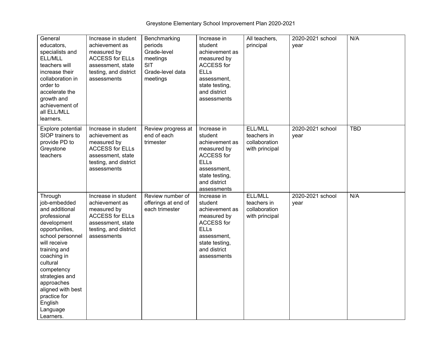Greystone Elementary School Improvement Plan 2020-2021

| General<br>educators,<br>specialists and<br>ELL/MLL<br>teachers will<br>increase their<br>collaboration in<br>order to<br>accelerate the<br>growth and<br>achievement of<br>all ELL/MLL<br>learners.                                                                                             | Increase in student<br>achievement as<br>measured by<br><b>ACCESS for ELLs</b><br>assessment, state<br>testing, and district<br>assessments | Benchmarking<br>periods<br>Grade-level<br>meetings<br><b>SIT</b><br>Grade-level data<br>meetings | Increase in<br>student<br>achievement as<br>measured by<br><b>ACCESS for</b><br><b>ELLs</b><br>assessment,<br>state testing,<br>and district<br>assessments | All teachers,<br>principal                                | 2020-2021 school<br>year | N/A        |
|--------------------------------------------------------------------------------------------------------------------------------------------------------------------------------------------------------------------------------------------------------------------------------------------------|---------------------------------------------------------------------------------------------------------------------------------------------|--------------------------------------------------------------------------------------------------|-------------------------------------------------------------------------------------------------------------------------------------------------------------|-----------------------------------------------------------|--------------------------|------------|
| Explore potential<br>SIOP trainers to<br>provide PD to<br>Greystone<br>teachers                                                                                                                                                                                                                  | Increase in student<br>achievement as<br>measured by<br><b>ACCESS for ELLs</b><br>assessment, state<br>testing, and district<br>assessments | Review progress at<br>end of each<br>trimester                                                   | Increase in<br>student<br>achievement as<br>measured by<br><b>ACCESS for</b><br><b>ELLs</b><br>assessment.<br>state testing,<br>and district<br>assessments | ELL/MLL<br>teachers in<br>collaboration<br>with principal | 2020-2021 school<br>year | <b>TBD</b> |
| Through<br>job-embedded<br>and additional<br>professional<br>development<br>opportunities,<br>school personnel<br>will receive<br>training and<br>coaching in<br>cultural<br>competency<br>strategies and<br>approaches<br>aligned with best<br>practice for<br>English<br>Language<br>Learners. | Increase in student<br>achievement as<br>measured by<br><b>ACCESS for ELLs</b><br>assessment, state<br>testing, and district<br>assessments | Review number of<br>offerings at end of<br>each trimester                                        | Increase in<br>student<br>achievement as<br>measured by<br><b>ACCESS for</b><br><b>ELLs</b><br>assessment,<br>state testing,<br>and district<br>assessments | ELL/MLL<br>teachers in<br>collaboration<br>with principal | 2020-2021 school<br>year | N/A        |